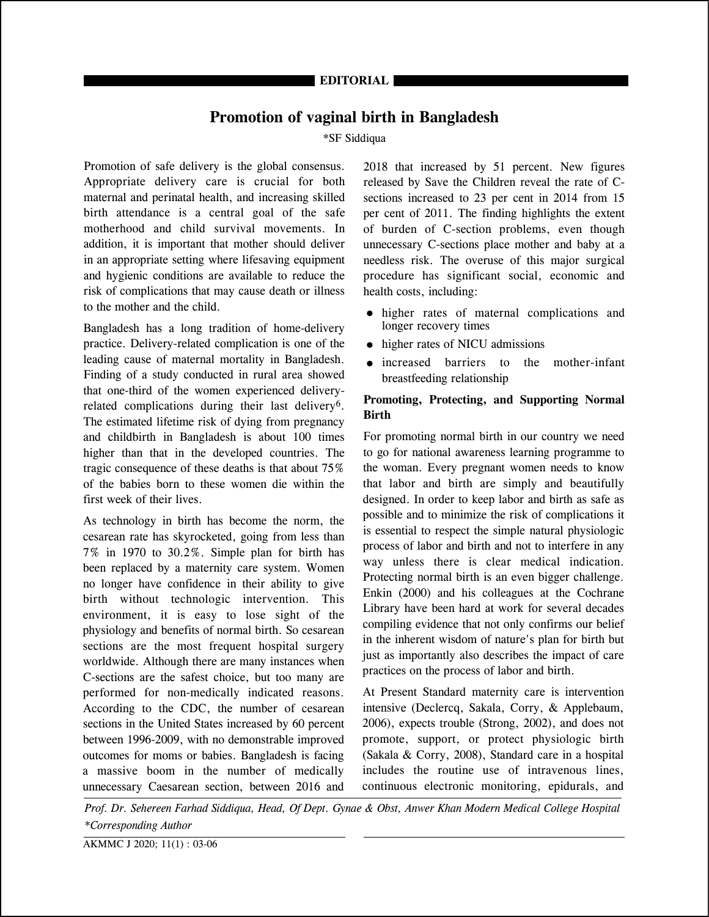# **Promotion of vaginal birth in Bangladesh**

#### \*SF Siddiqua

Promotion of safe delivery is the global consensus. Appropriate delivery care is crucial for both maternal and perinatal health, and increasing skilled birth attendance is a central goal of the safe motherhood and child survival movements. In addition, it is important that mother should deliver in an appropriate setting where lifesaving equipment and hygienic conditions are available to reduce the risk of complications that may cause death or illness to the mother and the child.

Bangladesh has a long tradition of home-delivery practice. Delivery-related complication is one of the leading cause of maternal mortality in Bangladesh. Finding of a study conducted in rural area showed that one-third of the women experienced deliveryrelated complications during their last delivery6. The estimated lifetime risk of dying from pregnancy and childbirth in Bangladesh is about 100 times higher than that in the developed countries. The tragic consequence of these deaths is that about 75% of the babies born to these women die within the first week of their lives.

As technology in birth has become the norm, the cesarean rate has skyrocketed, going from less than 7% in 1970 to 30.2%. Simple plan for birth has been replaced by a maternity care system. Women no longer have confidence in their ability to give birth without technologic intervention. This environment, it is easy to lose sight of the physiology and benefits of normal birth. So cesarean sections are the most frequent hospital surgery worldwide. Although there are many instances when C-sections are the safest choice, but too many are performed for non-medically indicated reasons. According to the CDC, the number of cesarean sections in the United States increased by 60 percent between 1996-2009, with no demonstrable improved outcomes for moms or babies. Bangladesh is facing a massive boom in the number of medically unnecessary Caesarean section, between 2016 and

2018 that increased by 51 percent. New figures released by Save the Children reveal the rate of Csections increased to 23 per cent in 2014 from 15 per cent of 2011. The finding highlights the extent of burden of C-section problems, even though unnecessary C-sections place mother and baby at a needless risk. The overuse of this major surgical procedure has significant social, economic and health costs, including:

- higher rates of maternal complications and longer recovery times
- higher rates of NICU admissions
- increased barriers to the mother-infant breastfeeding relationship

### **Promoting, Protecting, and Supporting Normal Birth**

For promoting normal birth in our country we need to go for national awareness learning programme to the woman. Every pregnant women needs to know that labor and birth are simply and beautifully designed. In order to keep labor and birth as safe as possible and to minimize the risk of complications it is essential to respect the simple natural physiologic process of labor and birth and not to interfere in any way unless there is clear medical indication. Protecting normal birth is an even bigger challenge. Enkin (2000) and his colleagues at the Cochrane Library have been hard at work for several decades compiling evidence that not only confirms our belief in the inherent wisdom of nature's plan for birth but just as importantly also describes the impact of care practices on the process of labor and birth.

At Present Standard maternity care is intervention intensive (Declercq, Sakala, Corry, & Applebaum, 2006), expects trouble (Strong, 2002), and does not promote, support, or protect physiologic birth (Sakala & Corry, 2008), Standard care in a hospital includes the routine use of intravenous lines, continuous electronic monitoring, epidurals, and

Prof. Dr. Sehereen Farhad Siddiqua, Head, Of Dept. Gynae & Obst, Anwer Khan Modern Medical College Hospital *\*Corresponding Author*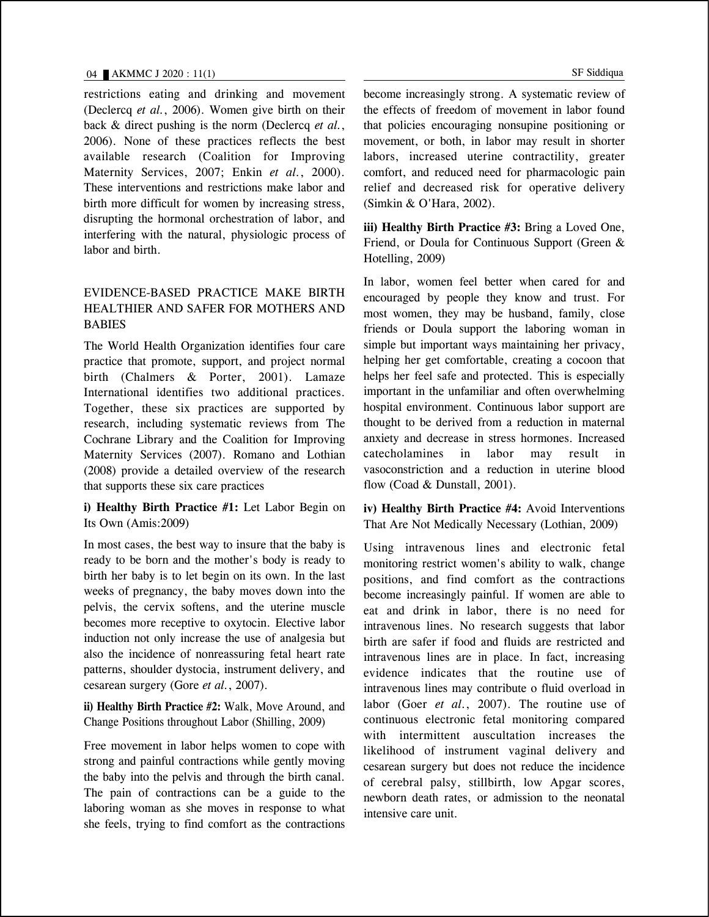restrictions eating and drinking and movement (Declercq *et al.*, 2006). Women give birth on their back & direct pushing is the norm (Declercq *et al.*, 2006). None of these practices reflects the best available research (Coalition for Improving Maternity Services, 2007; Enkin *et al.*, 2000). These interventions and restrictions make labor and birth more difficult for women by increasing stress, disrupting the hormonal orchestration of labor, and interfering with the natural, physiologic process of labor and birth.

## EVIDENCE-BASED PRACTICE MAKE BIRTH HEALTHIER AND SAFER FOR MOTHERS AND BABIES

The World Health Organization identifies four care practice that promote, support, and project normal birth (Chalmers & Porter, 2001). Lamaze International identifies two additional practices. Together, these six practices are supported by research, including systematic reviews from The Cochrane Library and the Coalition for Improving Maternity Services (2007). Romano and Lothian (2008) provide a detailed overview of the research that supports these six care practices

**i) Healthy Birth Practice #1:** Let Labor Begin on Its Own (Amis:2009)

In most cases, the best way to insure that the baby is ready to be born and the mother's body is ready to birth her baby is to let begin on its own. In the last weeks of pregnancy, the baby moves down into the pelvis, the cervix softens, and the uterine muscle becomes more receptive to oxytocin. Elective labor induction not only increase the use of analgesia but also the incidence of nonreassuring fetal heart rate patterns, shoulder dystocia, instrument delivery, and cesarean surgery (Gore *et al.*, 2007).

**ii) Healthy Birth Practice #2:** Walk, Move Around, and Change Positions throughout Labor (Shilling, 2009)

Free movement in labor helps women to cope with strong and painful contractions while gently moving the baby into the pelvis and through the birth canal. The pain of contractions can be a guide to the laboring woman as she moves in response to what she feels, trying to find comfort as the contractions become increasingly strong. A systematic review of the effects of freedom of movement in labor found that policies encouraging nonsupine positioning or movement, or both, in labor may result in shorter labors, increased uterine contractility, greater comfort, and reduced need for pharmacologic pain relief and decreased risk for operative delivery (Simkin & O'Hara, 2002).

**iii) Healthy Birth Practice #3:** Bring a Loved One, Friend, or Doula for Continuous Support (Green & Hotelling, 2009)

In labor, women feel better when cared for and encouraged by people they know and trust. For most women, they may be husband, family, close friends or Doula support the laboring woman in simple but important ways maintaining her privacy, helping her get comfortable, creating a cocoon that helps her feel safe and protected. This is especially important in the unfamiliar and often overwhelming hospital environment. Continuous labor support are thought to be derived from a reduction in maternal anxiety and decrease in stress hormones. Increased catecholamines in labor may result in vasoconstriction and a reduction in uterine blood flow (Coad & Dunstall, 2001).

**iv) Healthy Birth Practice #4:** Avoid Interventions That Are Not Medically Necessary (Lothian, 2009)

Using intravenous lines and electronic fetal monitoring restrict women's ability to walk, change positions, and find comfort as the contractions become increasingly painful. If women are able to eat and drink in labor, there is no need for intravenous lines. No research suggests that labor birth are safer if food and fluids are restricted and intravenous lines are in place. In fact, increasing evidence indicates that the routine use of intravenous lines may contribute o fluid overload in labor (Goer *et al.*, 2007). The routine use of continuous electronic fetal monitoring compared with intermittent auscultation increases the likelihood of instrument vaginal delivery and cesarean surgery but does not reduce the incidence of cerebral palsy, stillbirth, low Apgar scores, newborn death rates, or admission to the neonatal intensive care unit.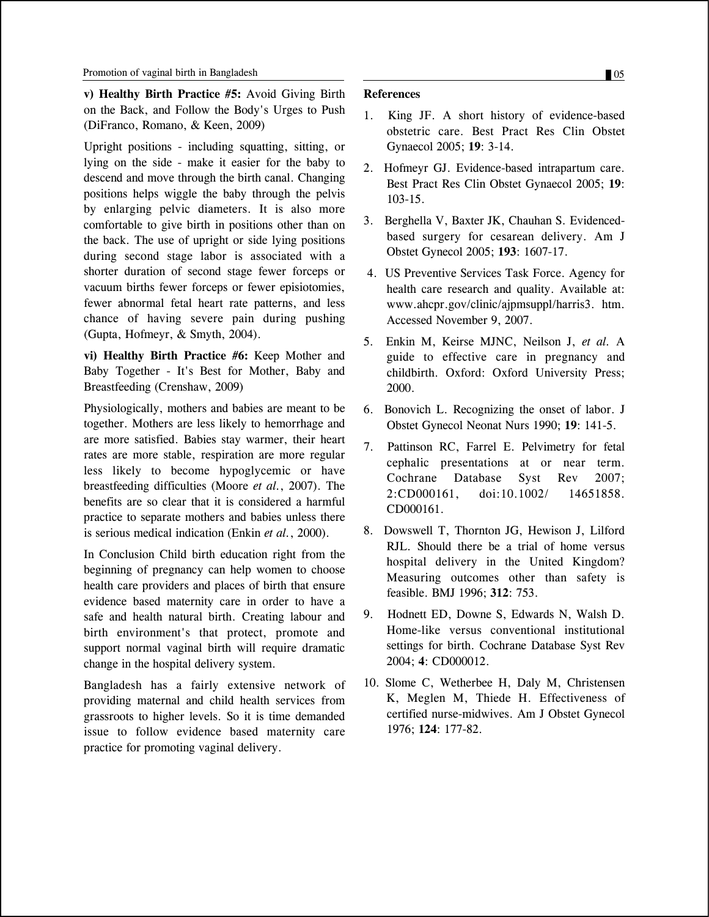**v) Healthy Birth Practice #5:** Avoid Giving Birth on the Back, and Follow the Body's Urges to Push (DiFranco, Romano, & Keen, 2009)

Upright positions - including squatting, sitting, or lying on the side - make it easier for the baby to descend and move through the birth canal. Changing positions helps wiggle the baby through the pelvis by enlarging pelvic diameters. It is also more comfortable to give birth in positions other than on the back. The use of upright or side lying positions during second stage labor is associated with a shorter duration of second stage fewer forceps or vacuum births fewer forceps or fewer episiotomies, fewer abnormal fetal heart rate patterns, and less chance of having severe pain during pushing (Gupta, Hofmeyr, & Smyth, 2004).

**vi) Healthy Birth Practice #6:** Keep Mother and Baby Together - It's Best for Mother, Baby and Breastfeeding (Crenshaw, 2009)

Physiologically, mothers and babies are meant to be together. Mothers are less likely to hemorrhage and are more satisfied. Babies stay warmer, their heart rates are more stable, respiration are more regular less likely to become hypoglycemic or have breastfeeding difficulties (Moore *et al.*, 2007). The benefits are so clear that it is considered a harmful practice to separate mothers and babies unless there is serious medical indication (Enkin *et al.*, 2000).

In Conclusion Child birth education right from the beginning of pregnancy can help women to choose health care providers and places of birth that ensure evidence based maternity care in order to have a safe and health natural birth. Creating labour and birth environment's that protect, promote and support normal vaginal birth will require dramatic change in the hospital delivery system.

Bangladesh has a fairly extensive network of providing maternal and child health services from grassroots to higher levels. So it is time demanded issue to follow evidence based maternity care practice for promoting vaginal delivery.

#### **References**

- 1. King JF. A short history of evidence-based obstetric care. Best Pract Res Clin Obstet Gynaecol 2005; **19**: 3-14.
- 2. Hofmeyr GJ. Evidence-based intrapartum care. Best Pract Res Clin Obstet Gynaecol 2005; **19**: 103-15.
- 3. Berghella V, Baxter JK, Chauhan S. Evidencedbased surgery for cesarean delivery. Am J Obstet Gynecol 2005; **193**: 1607-17.
- 4. US Preventive Services Task Force. Agency for health care research and quality. Available at: www.ahcpr.gov/clinic/ajpmsuppl/harris3. htm. Accessed November 9, 2007.
- 5. Enkin M, Keirse MJNC, Neilson J, *et al.* A guide to effective care in pregnancy and childbirth. Oxford: Oxford University Press; 2000.
- 6. Bonovich L. Recognizing the onset of labor. J Obstet Gynecol Neonat Nurs 1990; **19**: 141-5.
- 7. Pattinson RC, Farrel E. Pelvimetry for fetal cephalic presentations at or near term. Cochrane Database Syst Rev 2007; 2:CD000161, doi:10.1002/ 14651858. CD000161.
- 8. Dowswell T, Thornton JG, Hewison J, Lilford RJL. Should there be a trial of home versus hospital delivery in the United Kingdom? Measuring outcomes other than safety is feasible. BMJ 1996; **312**: 753.
- 9. Hodnett ED, Downe S, Edwards N, Walsh D. Home-like versus conventional institutional settings for birth. Cochrane Database Syst Rev 2004; **4**: CD000012.
- 10. Slome C, Wetherbee H, Daly M, Christensen K, Meglen M, Thiede H. Effectiveness of certified nurse-midwives. Am J Obstet Gynecol 1976; **124**: 177-82.